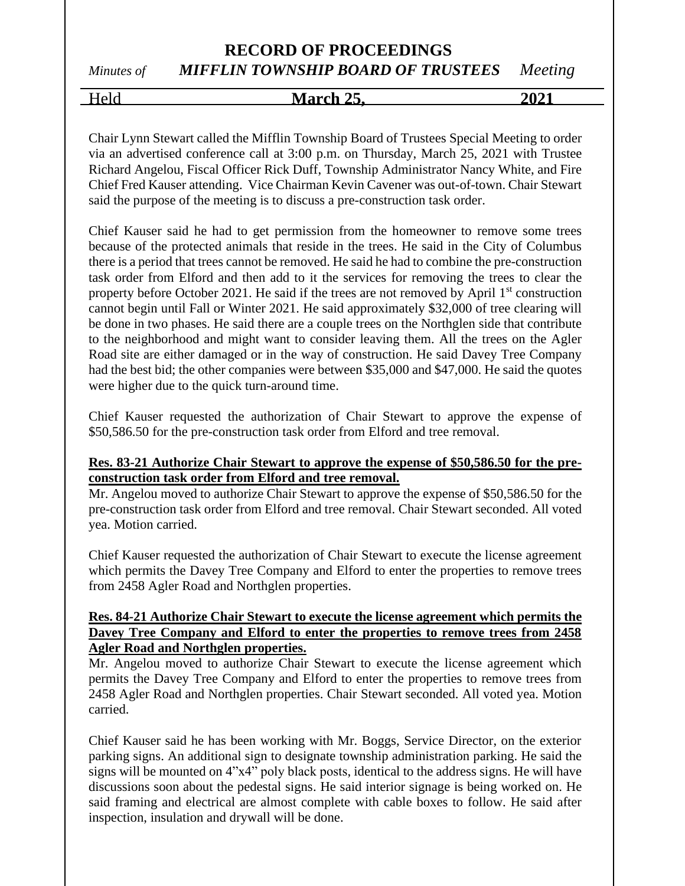# **RECORD OF PROCEEDINGS**

## *Minutes of MIFFLIN TOWNSHIP BOARD OF TRUSTEES Meeting*

Held **March 25, 2021**

Chair Lynn Stewart called the Mifflin Township Board of Trustees Special Meeting to order via an advertised conference call at 3:00 p.m. on Thursday, March 25, 2021 with Trustee Richard Angelou, Fiscal Officer Rick Duff, Township Administrator Nancy White, and Fire Chief Fred Kauser attending. Vice Chairman Kevin Cavener was out-of-town. Chair Stewart said the purpose of the meeting is to discuss a pre-construction task order.

Chief Kauser said he had to get permission from the homeowner to remove some trees because of the protected animals that reside in the trees. He said in the City of Columbus there is a period that trees cannot be removed. He said he had to combine the pre-construction task order from Elford and then add to it the services for removing the trees to clear the property before October 2021. He said if the trees are not removed by April  $1<sup>st</sup>$  construction cannot begin until Fall or Winter 2021. He said approximately \$32,000 of tree clearing will be done in two phases. He said there are a couple trees on the Northglen side that contribute to the neighborhood and might want to consider leaving them. All the trees on the Agler Road site are either damaged or in the way of construction. He said Davey Tree Company had the best bid; the other companies were between \$35,000 and \$47,000. He said the quotes were higher due to the quick turn-around time.

Chief Kauser requested the authorization of Chair Stewart to approve the expense of \$50,586.50 for the pre-construction task order from Elford and tree removal.

#### **Res. 83-21 Authorize Chair Stewart to approve the expense of \$50,586.50 for the preconstruction task order from Elford and tree removal.**

Mr. Angelou moved to authorize Chair Stewart to approve the expense of \$50,586.50 for the pre-construction task order from Elford and tree removal. Chair Stewart seconded. All voted yea. Motion carried.

Chief Kauser requested the authorization of Chair Stewart to execute the license agreement which permits the Davey Tree Company and Elford to enter the properties to remove trees from 2458 Agler Road and Northglen properties.

#### **Res. 84-21 Authorize Chair Stewart to execute the license agreement which permits the Davey Tree Company and Elford to enter the properties to remove trees from 2458 Agler Road and Northglen properties.**

Mr. Angelou moved to authorize Chair Stewart to execute the license agreement which permits the Davey Tree Company and Elford to enter the properties to remove trees from 2458 Agler Road and Northglen properties. Chair Stewart seconded. All voted yea. Motion carried.

Chief Kauser said he has been working with Mr. Boggs, Service Director, on the exterior parking signs. An additional sign to designate township administration parking. He said the signs will be mounted on 4"x4" poly black posts, identical to the address signs. He will have discussions soon about the pedestal signs. He said interior signage is being worked on. He said framing and electrical are almost complete with cable boxes to follow. He said after inspection, insulation and drywall will be done.